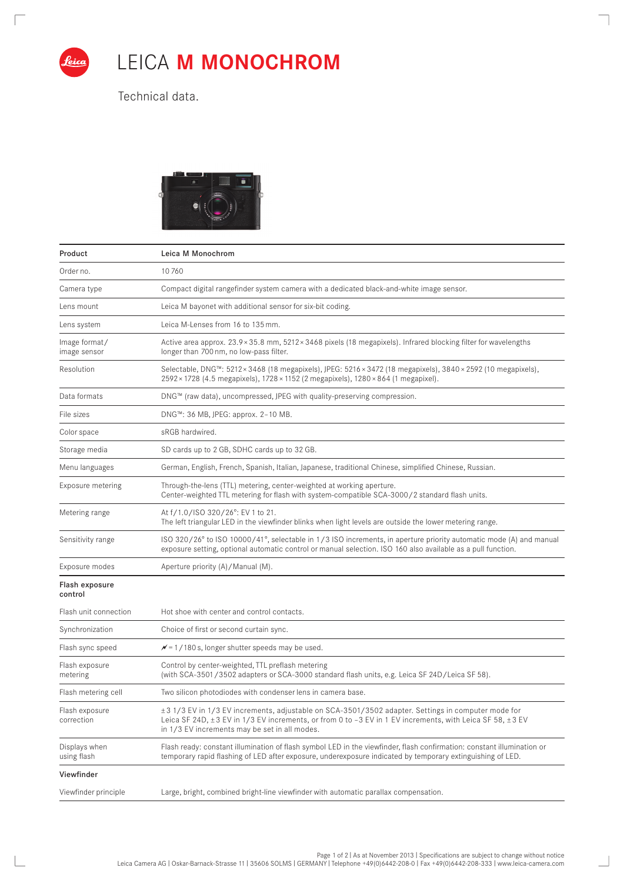

 $\sqrt{2}$ 

 $\overline{1}$ 

## LEICA **M MONOCHROM**

٦

 $\overline{\phantom{0}}$ 

Technical data.



| Product                       | Leica M Monochrom                                                                                                                                                                                                                                               |
|-------------------------------|-----------------------------------------------------------------------------------------------------------------------------------------------------------------------------------------------------------------------------------------------------------------|
| Order no.                     | 10760                                                                                                                                                                                                                                                           |
| Camera type                   | Compact digital rangefinder system camera with a dedicated black-and-white image sensor.                                                                                                                                                                        |
| Lens mount                    | Leica M bayonet with additional sensor for six-bit coding.                                                                                                                                                                                                      |
| Lens system                   | Leica M-Lenses from 16 to 135 mm.                                                                                                                                                                                                                               |
| Image format/<br>image sensor | Active area approx. 23.9×35.8 mm, 5212×3468 pixels (18 megapixels). Infrared blocking filter for wavelengths<br>longer than 700 nm, no low-pass filter.                                                                                                         |
| Resolution                    | Selectable, DNG™: 5212×3468 (18 megapixels), JPEG: 5216×3472 (18 megapixels), 3840×2592 (10 megapixels),<br>2592 × 1728 (4.5 megapixels), 1728 × 1152 (2 megapixels), 1280 × 864 (1 megapixel).                                                                 |
| Data formats                  | DNG™ (raw data), uncompressed, JPEG with quality-preserving compression.                                                                                                                                                                                        |
| File sizes                    | DNG™: 36 MB, JPEG: approx. 2-10 MB.                                                                                                                                                                                                                             |
| Color space                   | sRGB hardwired.                                                                                                                                                                                                                                                 |
| Storage media                 | SD cards up to 2 GB, SDHC cards up to 32 GB.                                                                                                                                                                                                                    |
| Menu languages                | German, English, French, Spanish, Italian, Japanese, traditional Chinese, simplified Chinese, Russian.                                                                                                                                                          |
| Exposure metering             | Through-the-lens (TTL) metering, center-weighted at working aperture.<br>Center-weighted TTL metering for flash with system-compatible SCA-3000/2 standard flash units.                                                                                         |
| Metering range                | At f/1.0/ISO 320/26°: EV 1 to 21.<br>The left triangular LED in the viewfinder blinks when light levels are outside the lower metering range.                                                                                                                   |
| Sensitivity range             | ISO 320/26° to ISO 10000/41°, selectable in 1/3 ISO increments, in aperture priority automatic mode (A) and manual<br>exposure setting, optional automatic control or manual selection. ISO 160 also available as a pull function.                              |
| Exposure modes                | Aperture priority (A)/Manual (M).                                                                                                                                                                                                                               |
| Flash exposure<br>control     |                                                                                                                                                                                                                                                                 |
| Flash unit connection         | Hot shoe with center and control contacts.                                                                                                                                                                                                                      |
| Synchronization               | Choice of first or second curtain sync.                                                                                                                                                                                                                         |
| Flash sync speed              | $\mathcal{N}$ = 1/180 s, longer shutter speeds may be used.                                                                                                                                                                                                     |
| Flash exposure<br>metering    | Control by center-weighted, TTL preflash metering<br>(with SCA-3501/3502 adapters or SCA-3000 standard flash units, e.g. Leica SF 24D/Leica SF 58).                                                                                                             |
| Flash metering cell           | Two silicon photodiodes with condenser lens in camera base.                                                                                                                                                                                                     |
| Flash exposure<br>correction  | ±3 1/3 EV in 1/3 EV increments, adjustable on SCA-3501/3502 adapter. Settings in computer mode for<br>Leica SF 24D, ±3 EV in 1/3 EV increments, or from 0 to -3 EV in 1 EV increments, with Leica SF 58, ±3 EV<br>in 1/3 EV increments may be set in all modes. |
| Displays when<br>using flash  | Flash ready: constant illumination of flash symbol LED in the viewfinder, flash confirmation: constant illumination or<br>temporary rapid flashing of LED after exposure, underexposure indicated by temporary extinguishing of LED.                            |
| Viewfinder                    |                                                                                                                                                                                                                                                                 |
| Viewfinder principle          | Large, bright, combined bright-line viewfinder with automatic parallax compensation.                                                                                                                                                                            |